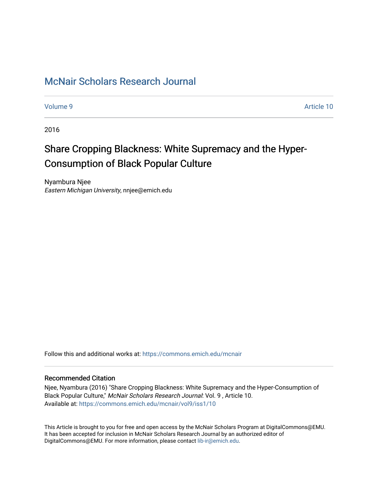# [McNair Scholars Research Journal](https://commons.emich.edu/mcnair)

[Volume 9](https://commons.emich.edu/mcnair/vol9) Article 10

2016

# Share Cropping Blackness: White Supremacy and the Hyper-Consumption of Black Popular Culture

Nyambura Njee Eastern Michigan University, nnjee@emich.edu

Follow this and additional works at: [https://commons.emich.edu/mcnair](https://commons.emich.edu/mcnair?utm_source=commons.emich.edu%2Fmcnair%2Fvol9%2Fiss1%2F10&utm_medium=PDF&utm_campaign=PDFCoverPages) 

### Recommended Citation

Njee, Nyambura (2016) "Share Cropping Blackness: White Supremacy and the Hyper-Consumption of Black Popular Culture," McNair Scholars Research Journal: Vol. 9 , Article 10. Available at: [https://commons.emich.edu/mcnair/vol9/iss1/10](https://commons.emich.edu/mcnair/vol9/iss1/10?utm_source=commons.emich.edu%2Fmcnair%2Fvol9%2Fiss1%2F10&utm_medium=PDF&utm_campaign=PDFCoverPages) 

This Article is brought to you for free and open access by the McNair Scholars Program at DigitalCommons@EMU. It has been accepted for inclusion in McNair Scholars Research Journal by an authorized editor of DigitalCommons@EMU. For more information, please contact [lib-ir@emich.edu](mailto:lib-ir@emich.edu).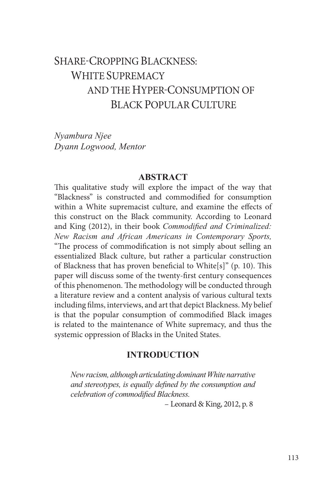# SHARE-CROPPING BLACKNESS: WHITE SUPREMACY AND THE HYPER-CONSUMPTION OF BLACK POPULAR CULTURE

*Nyambura Njee Dyann Logwood, Mentor*

#### **ABSTRACT**

This qualitative study will explore the impact of the way that "Blackness" is constructed and commodified for consumption within a White supremacist culture, and examine the effects of this construct on the Black community. According to Leonard and King (2012), in their book *Commodified and Criminalized: New Racism and African Americans in Contemporary Sports,* "The process of commodification is not simply about selling an essentialized Black culture, but rather a particular construction of Blackness that has proven beneficial to White[s]" (p. 10). This paper will discuss some of the twenty-first century consequences of this phenomenon. The methodology will be conducted through a literature review and a content analysis of various cultural texts including films, interviews, and art that depict Blackness. My belief is that the popular consumption of commodified Black images is related to the maintenance of White supremacy, and thus the systemic oppression of Blacks in the United States.

# **INTRODUCTION**

*New racism, although articulating dominant White narrative and stereotypes, is equally defined by the consumption and celebration of commodified Blackness.*

– Leonard & King, 2012, p. 8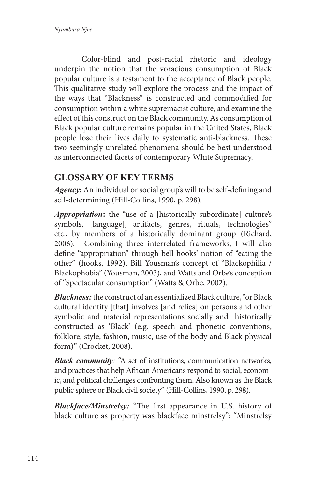Color-blind and post-racial rhetoric and ideology underpin the notion that the voracious consumption of Black popular culture is a testament to the acceptance of Black people. This qualitative study will explore the process and the impact of the ways that "Blackness" is constructed and commodified for consumption within a white supremacist culture, and examine the effect of this construct on the Black community. As consumption of Black popular culture remains popular in the United States, Black people lose their lives daily to systematic anti-blackness. These two seemingly unrelated phenomena should be best understood as interconnected facets of contemporary White Supremacy.

# **GLOSSARY OF KEY TERMS**

*Agency***:** An individual or social group's will to be self-defining and self-determining (Hill-Collins, 1990, p. 298)*.* 

*Appropriation***:** the "use of a [historically subordinate] culture's symbols, [language], artifacts, genres, rituals, technologies" etc., by members of a historically dominant group (Richard, 2006)*.* Combining three interrelated frameworks, I will also define "appropriation" through bell hooks' notion of "eating the other" (hooks, 1992), Bill Yousman's concept of "Blackophilia / Blackophobia" (Yousman, 2003), and Watts and Orbe's conception of "Spectacular consumption" (Watts & Orbe, 2002).

*Blackness:*the construct of an essentialized Black culture, "or Black cultural identity [that] involves [and relies] on persons and other symbolic and material representations socially and historically constructed as 'Black' (e.g. speech and phonetic conventions, folklore, style, fashion, music, use of the body and Black physical form)" (Crocket, 2008).

*Black community:* "A set of institutions, communication networks, and practices that help African Americans respond to social, economic, and political challenges confronting them. Also known as the Black public sphere or Black civil society" (Hill-Collins, 1990, p. 298)*.*

*Blackface/Minstrelsy:* "The first appearance in U.S. history of black culture as property was blackface minstrelsy"; "Minstrelsy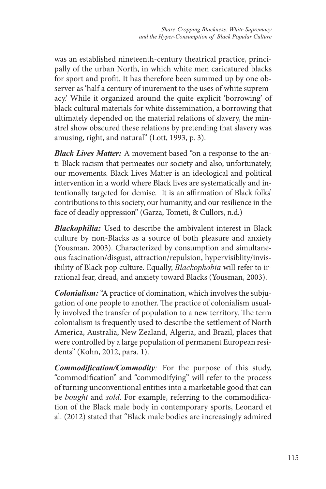was an established nineteenth-century theatrical practice, principally of the urban North, in which white men caricatured blacks for sport and profit. It has therefore been summed up by one observer as 'half a century of inurement to the uses of white supremacy.' While it organized around the quite explicit 'borrowing' of black cultural materials for white dissemination, a borrowing that ultimately depended on the material relations of slavery, the minstrel show obscured these relations by pretending that slavery was amusing, right, and natural" (Lott, 1993, p. 3).

*Black Lives Matter:* A movement based "on a response to the anti-Black racism that permeates our society and also, unfortunately, our movements. Black Lives Matter is an ideological and political intervention in a world where Black lives are systematically and intentionally targeted for demise. It is an affirmation of Black folks' contributions to this society, our humanity, and our resilience in the face of deadly oppression" (Garza, Tometi, & Cullors, n.d.)

*Blackophilia:* Used to describe the ambivalent interest in Black culture by non-Blacks as a source of both pleasure and anxiety (Yousman, 2003). Characterized by consumption and simultaneous fascination/disgust, attraction/repulsion, hypervisiblity/invisibility of Black pop culture. Equally, *Blackophobia* will refer to irrational fear, dread, and anxiety toward Blacks (Yousman, 2003).

*Colonialism:* "A practice of domination, which involves the subjugation of one people to another. The practice of colonialism usually involved the transfer of population to a new territory. The term colonialism is frequently used to describe the settlement of North America, Australia, New Zealand, Algeria, and Brazil, places that were controlled by a large population of permanent European residents" (Kohn, 2012, para. 1).

*Commodification/Commodity:* For the purpose of this study, "commodification" and "commodifying" will refer to the process of turning unconventional entities into a marketable good that can be *bought* and *sold*. For example, referring to the commodification of the Black male body in contemporary sports, Leonard et al. (2012) stated that "Black male bodies are increasingly admired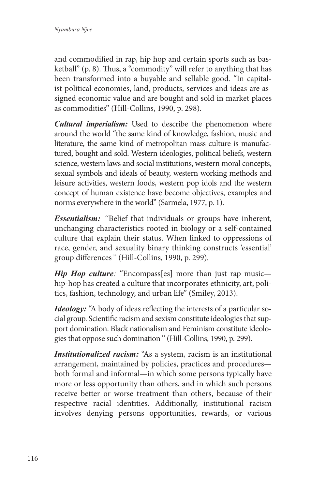and commodified in rap, hip hop and certain sports such as basketball" (p. 8). Thus, a "commodity" will refer to anything that has been transformed into a buyable and sellable good. "In capitalist political economies, land, products, services and ideas are assigned economic value and are bought and sold in market places as commodities" (Hill-Collins, 1990, p. 298).

*Cultural imperialism:* Used to describe the phenomenon where around the world "the same kind of knowledge, fashion, music and literature, the same kind of metropolitan mass culture is manufactured, bought and sold. Western ideologies, political beliefs, western science, western laws and social institutions, western moral concepts, sexual symbols and ideals of beauty, western working methods and leisure activities, western foods, western pop idols and the western concept of human existence have become objectives, examples and norms everywhere in the world" (Sarmela, 1977, p. 1).

*Essentialism: "*Belief that individuals or groups have inherent, unchanging characteristics rooted in biology or a self-contained culture that explain their status. When linked to oppressions of race, gender, and sexuality binary thinking constructs 'essential' group differences*"* (Hill-Collins, 1990, p. 299)*.*

*Hip Hop culture*: "Encompass[es] more than just rap music hip-hop has created a culture that incorporates ethnicity, art, politics, fashion, technology, and urban life" (Smiley, 2013).

*Ideology:* "A body of ideas reflecting the interests of a particular social group. Scientific racism and sexism constitute ideologies that support domination. Black nationalism and Feminism constitute ideologies that oppose such domination*"* (Hill-Collins, 1990, p. 299).

*Institutionalized racism:* "As a system, racism is an institutional arrangement, maintained by policies, practices and procedures both formal and informal—in which some persons typically have more or less opportunity than others, and in which such persons receive better or worse treatment than others, because of their respective racial identities. Additionally, institutional racism involves denying persons opportunities, rewards, or various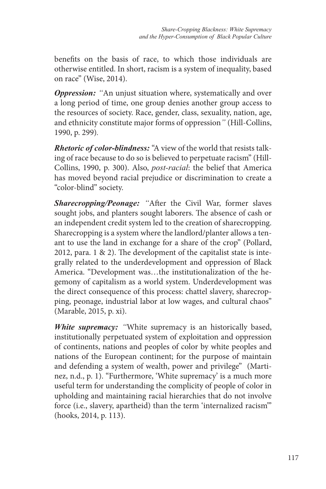benefits on the basis of race, to which those individuals are otherwise entitled. In short, racism is a system of inequality, based on race" (Wise, 2014).

*Oppression: "*An unjust situation where, systematically and over a long period of time, one group denies another group access to the resources of society. Race, gender, class, sexuality, nation, age, and ethnicity constitute major forms of oppression*"* (Hill-Collins, 1990, p. 299)*.*

*Rhetoric of color-blindness:* "A view of the world that resists talking of race because to do so is believed to perpetuate racism" (Hill-Collins, 1990, p. 300). Also, *post-racial*: the belief that America has moved beyond racial prejudice or discrimination to create a "color-blind" society.

*Sharecropping/Peonage: "*After the Civil War, former slaves sought jobs, and planters sought laborers. The absence of cash or an independent credit system led to the creation of sharecropping. Sharecropping is a system where the landlord/planter allows a tenant to use the land in exchange for a share of the crop" (Pollard, 2012, para. 1 & 2). The development of the capitalist state is integrally related to the underdevelopment and oppression of Black America. "Development was…the institutionalization of the hegemony of capitalism as a world system. Underdevelopment was the direct consequence of this process: chattel slavery, sharecropping, peonage, industrial labor at low wages, and cultural chaos" (Marable, 2015, p. xi).

*White supremacy: "*White supremacy is an historically based, institutionally perpetuated system of exploitation and oppression of continents, nations and peoples of color by white peoples and nations of the European continent; for the purpose of maintain and defending a system of wealth, power and privilege" (Martinez, n.d., p. 1). "Furthermore, 'White supremacy' is a much more useful term for understanding the complicity of people of color in upholding and maintaining racial hierarchies that do not involve force (i.e., slavery, apartheid) than the term 'internalized racism'" (hooks, 2014, p. 113).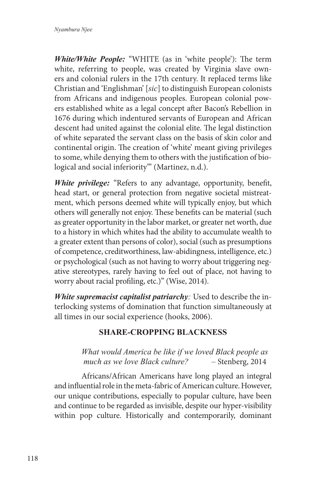*White/White People:* "WHITE (as in 'white people'): The term white, referring to people, was created by Virginia slave owners and colonial rulers in the 17th century. It replaced terms like Christian and 'Englishman' [*sic*] to distinguish European colonists from Africans and indigenous peoples. European colonial powers established white as a legal concept after Bacon's Rebellion in 1676 during which indentured servants of European and African descent had united against the colonial elite. The legal distinction of white separated the servant class on the basis of skin color and continental origin. The creation of 'white' meant giving privileges to some, while denying them to others with the justification of biological and social inferiority" (Martinez, n.d.).

*White privilege:* "Refers to any advantage, opportunity, benefit, head start, or general protection from negative societal mistreatment, which persons deemed white will typically enjoy, but which others will generally not enjoy. These benefits can be material (such as greater opportunity in the labor market, or greater net worth, due to a history in which whites had the ability to accumulate wealth to a greater extent than persons of color), social (such as presumptions of competence, creditworthiness, law-abidingness, intelligence, etc.) or psychological (such as not having to worry about triggering negative stereotypes, rarely having to feel out of place, not having to worry about racial profiling, etc.)" (Wise, 2014).

*White supremacist capitalist patriarchy:* Used to describe the interlocking systems of domination that function simultaneously at all times in our social experience (hooks, 2006).

# **SHARE-CROPPING BLACKNESS**

*What would America be like if we loved Black people as much as we love Black culture? –* Stenberg, 2014

Africans/African Americans have long played an integral and influential role in the meta-fabric of American culture. However, our unique contributions, especially to popular culture, have been and continue to be regarded as invisible, despite our hyper-visibility within pop culture. Historically and contemporarily, dominant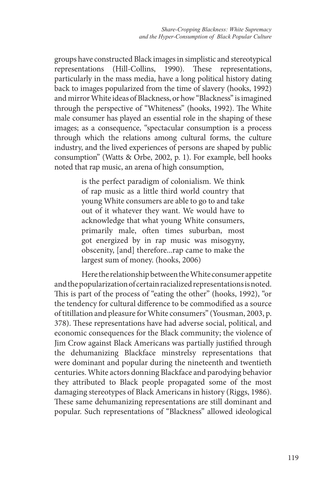groups have constructed Black images in simplistic and stereotypical representations (Hill-Collins, 1990). These representations, particularly in the mass media, have a long political history dating back to images popularized from the time of slavery (hooks, 1992) and mirror White ideas of Blackness, or how "Blackness" is imagined through the perspective of "Whiteness" (hooks, 1992). The White male consumer has played an essential role in the shaping of these images; as a consequence, "spectacular consumption is a process through which the relations among cultural forms, the culture industry, and the lived experiences of persons are shaped by public consumption" (Watts & Orbe, 2002, p. 1). For example, bell hooks noted that rap music, an arena of high consumption,

> is the perfect paradigm of colonialism. We think of rap music as a little third world country that young White consumers are able to go to and take out of it whatever they want. We would have to acknowledge that what young White consumers, primarily male, often times suburban, most got energized by in rap music was misogyny, obscenity, [and] therefore...rap came to make the largest sum of money. (hooks, 2006)

Here the relationship between the White consumer appetite and the popularization of certain racialized representations is noted. This is part of the process of "eating the other" (hooks, 1992), "or the tendency for cultural difference to be commodified as a source of titillation and pleasure for White consumers" (Yousman, 2003, p. 378). These representations have had adverse social, political, and economic consequences for the Black community; the violence of Jim Crow against Black Americans was partially justified through the dehumanizing Blackface minstrelsy representations that were dominant and popular during the nineteenth and twentieth centuries. White actors donning Blackface and parodying behavior they attributed to Black people propagated some of the most damaging stereotypes of Black Americans in history (Riggs, 1986). These same dehumanizing representations are still dominant and popular. Such representations of "Blackness" allowed ideological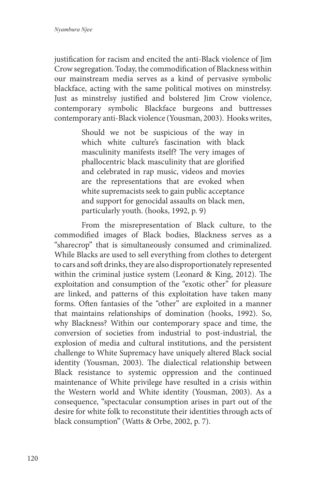justification for racism and encited the anti-Black violence of Jim Crow segregation. Today, the commodification of Blackness within our mainstream media serves as a kind of pervasive symbolic blackface, acting with the same political motives on minstrelsy. Just as minstrelsy justified and bolstered Jim Crow violence, contemporary symbolic Blackface burgeons and buttresses contemporary anti-Black violence (Yousman, 2003). Hooks writes,

> Should we not be suspicious of the way in which white culture's fascination with black masculinity manifests itself? The very images of phallocentric black masculinity that are glorified and celebrated in rap music, videos and movies are the representations that are evoked when white supremacists seek to gain public acceptance and support for genocidal assaults on black men, particularly youth. (hooks, 1992, p. 9)

From the misrepresentation of Black culture, to the commodified images of Black bodies, Blackness serves as a "sharecrop" that is simultaneously consumed and criminalized. While Blacks are used to sell everything from clothes to detergent to cars and soft drinks, they are also disproportionately represented within the criminal justice system (Leonard & King, 2012). The exploitation and consumption of the "exotic other" for pleasure are linked, and patterns of this exploitation have taken many forms. Often fantasies of the "other" are exploited in a manner that maintains relationships of domination (hooks, 1992). So, why Blackness? Within our contemporary space and time, the conversion of societies from industrial to post-industrial, the explosion of media and cultural institutions, and the persistent challenge to White Supremacy have uniquely altered Black social identity (Yousman, 2003). The dialectical relationship between Black resistance to systemic oppression and the continued maintenance of White privilege have resulted in a crisis within the Western world and White identity (Yousman, 2003). As a consequence, "spectacular consumption arises in part out of the desire for white folk to reconstitute their identities through acts of black consumption" (Watts & Orbe, 2002, p. 7).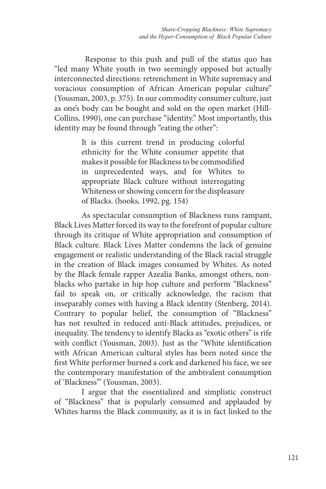Response to this push and pull of the status quo has "led many White youth in two seemingly opposed but actually interconnected directions: retrenchment in White supremacy and voracious consumption of African American popular culture" (Yousman, 2003, p. 375). In our commodity consumer culture, just as one's body can be bought and sold on the open market (Hill-Collins, 1990), one can purchase "identity." Most importantly, this identity may be found through "eating the other":

> It is this current trend in producing colorful ethnicity for the White consumer appetite that makes it possible for Blackness to be commodified in unprecedented ways, and for Whites to appropriate Black culture without interrogating Whiteness or showing concern for the displeasure of Blacks. (hooks, 1992, pg. 154)

As spectacular consumption of Blackness runs rampant, Black Lives Matter forced its way to the forefront of popular culture through its critique of White appropriation and consumption of Black culture. Black Lives Matter condemns the lack of genuine engagement or realistic understanding of the Black racial struggle in the creation of Black images consumed by Whites. As noted by the Black female rapper Azealia Banks, amongst others, nonblacks who partake in hip hop culture and perform "Blackness" fail to speak on, or critically acknowledge, the racism that inseparably comes with having a Black identity (Stenberg, 2014). Contrary to popular belief, the consumption of "Blackness" has not resulted in reduced anti-Black attitudes, prejudices, or inequality. The tendency to identify Blacks as "exotic others" is rife with conflict (Yousman, 2003). Just as the "White identification with African American cultural styles has been noted since the first White performer burned a cork and darkened his face, we see the contemporary manifestation of the ambivalent consumption of 'Blackness'" (Yousman, 2003).

I argue that the essentialized and simplistic construct of "Blackness" that is popularly consumed and applauded by Whites harms the Black community, as it is in fact linked to the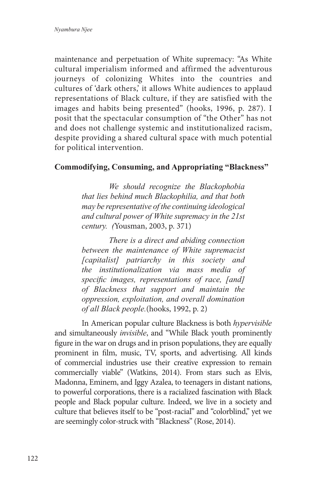maintenance and perpetuation of White supremacy: "As White cultural imperialism informed and affirmed the adventurous journeys of colonizing Whites into the countries and cultures of 'dark others,' it allows White audiences to applaud representations of Black culture, if they are satisfied with the images and habits being presented" (hooks, 1996, p. 287). I posit that the spectacular consumption of "the Other" has not and does not challenge systemic and institutionalized racism, despite providing a shared cultural space with much potential for political intervention.

### **Commodifying, Consuming, and Appropriating "Blackness"**

*We should recognize the Blackophobia that lies behind much Blackophilia, and that both may be representative of the continuing ideological and cultural power of White supremacy in the 21st century. (*Yousman, 2003, p. 371)

*There is a direct and abiding connection between the maintenance of White supremacist [capitalist] patriarchy in this society and the institutionalization via mass media of specific images, representations of race, [and] of Blackness that support and maintain the oppression, exploitation, and overall domination of all Black people.*(hooks, 1992, p. 2)

In American popular culture Blackness is both *hypervisible* and simultaneously *invisible*, and "While Black youth prominently figure in the war on drugs and in prison populations, they are equally prominent in film, music, TV, sports, and advertising. All kinds of commercial industries use their creative expression to remain commercially viable" (Watkins, 2014). From stars such as Elvis, Madonna, Eminem, and Iggy Azalea, to teenagers in distant nations, to powerful corporations, there is a racialized fascination with Black people and Black popular culture. Indeed, we live in a society and culture that believes itself to be "post-racial" and "colorblind," yet we are seemingly color-struck with "Blackness" (Rose, 2014).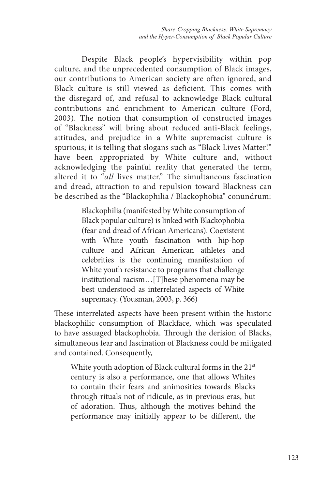Despite Black people's hypervisibility within pop culture, and the unprecedented consumption of Black images, our contributions to American society are often ignored, and Black culture is still viewed as deficient. This comes with the disregard of, and refusal to acknowledge Black cultural contributions and enrichment to American culture (Ford, 2003). The notion that consumption of constructed images of "Blackness" will bring about reduced anti-Black feelings, attitudes, and prejudice in a White supremacist culture is spurious; it is telling that slogans such as "Black Lives Matter!" have been appropriated by White culture and, without acknowledging the painful reality that generated the term, altered it to "*all* lives matter." The simultaneous fascination and dread, attraction to and repulsion toward Blackness can be described as the "Blackophilia / Blackophobia" conundrum:

> Blackophilia (manifested by White consumption of Black popular culture) is linked with Blackophobia (fear and dread of African Americans). Coexistent with White youth fascination with hip-hop culture and African American athletes and celebrities is the continuing manifestation of White youth resistance to programs that challenge institutional racism…[T]hese phenomena may be best understood as interrelated aspects of White supremacy. (Yousman, 2003, p. 366)

These interrelated aspects have been present within the historic blackophilic consumption of Blackface, which was speculated to have assuaged blackophobia. Through the derision of Blacks, simultaneous fear and fascination of Blackness could be mitigated and contained. Consequently,

White youth adoption of Black cultural forms in the 21<sup>st</sup> century is also a performance, one that allows Whites to contain their fears and animosities towards Blacks through rituals not of ridicule, as in previous eras, but of adoration. Thus, although the motives behind the performance may initially appear to be different, the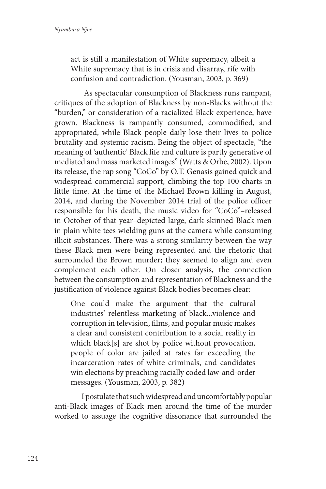act is still a manifestation of White supremacy, albeit a White supremacy that is in crisis and disarray, rife with confusion and contradiction. (Yousman, 2003, p. 369)

 As spectacular consumption of Blackness runs rampant, critiques of the adoption of Blackness by non-Blacks without the "burden," or consideration of a racialized Black experience, have grown. Blackness is rampantly consumed, commodified, and appropriated, while Black people daily lose their lives to police brutality and systemic racism. Being the object of spectacle, "the meaning of 'authentic' Black life and culture is partly generative of mediated and mass marketed images" (Watts & Orbe, 2002). Upon its release, the rap song "CoCo" by O.T. Genasis gained quick and widespread commercial support, climbing the top 100 charts in little time. At the time of the Michael Brown killing in August, 2014, and during the November 2014 trial of the police officer responsible for his death, the music video for "CoCo"–released in October of that year–depicted large, dark-skinned Black men in plain white tees wielding guns at the camera while consuming illicit substances. There was a strong similarity between the way these Black men were being represented and the rhetoric that surrounded the Brown murder; they seemed to align and even complement each other. On closer analysis, the connection between the consumption and representation of Blackness and the justification of violence against Black bodies becomes clear:

One could make the argument that the cultural industries' relentless marketing of black...violence and corruption in television, films, and popular music makes a clear and consistent contribution to a social reality in which black[s] are shot by police without provocation, people of color are jailed at rates far exceeding the incarceration rates of white criminals, and candidates win elections by preaching racially coded law-and-order messages. (Yousman, 2003, p. 382)

I postulate that such widespread and uncomfortably popular anti-Black images of Black men around the time of the murder worked to assuage the cognitive dissonance that surrounded the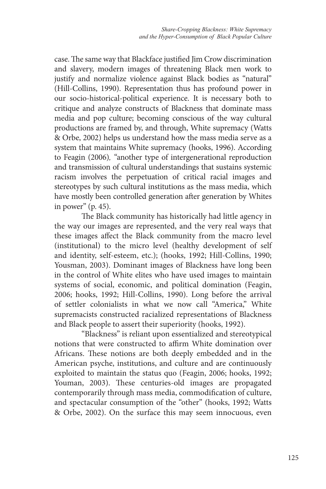case. The same way that Blackface justified Jim Crow discrimination and slavery, modern images of threatening Black men work to justify and normalize violence against Black bodies as "natural" (Hill-Collins, 1990). Representation thus has profound power in our socio-historical-political experience. It is necessary both to critique and analyze constructs of Blackness that dominate mass media and pop culture; becoming conscious of the way cultural productions are framed by, and through, White supremacy (Watts & Orbe, 2002) helps us understand how the mass media serve as a system that maintains White supremacy (hooks, 1996). According to Feagin (2006)*,* "another type of intergenerational reproduction and transmission of cultural understandings that sustains systemic racism involves the perpetuation of critical racial images and stereotypes by such cultural institutions as the mass media, which have mostly been controlled generation after generation by Whites in power" (p. 45).

The Black community has historically had little agency in the way our images are represented, and the very real ways that these images affect the Black community from the macro level (institutional) to the micro level (healthy development of self and identity, self-esteem, etc.); (hooks, 1992; Hill-Collins, 1990; Yousman, 2003). Dominant images of Blackness have long been in the control of White elites who have used images to maintain systems of social, economic, and political domination (Feagin, 2006; hooks, 1992; Hill-Collins, 1990). Long before the arrival of settler colonialists in what we now call "America," White supremacists constructed racialized representations of Blackness and Black people to assert their superiority (hooks, 1992).

"Blackness" is reliant upon essentialized and stereotypical notions that were constructed to affirm White domination over Africans. These notions are both deeply embedded and in the American psyche, institutions, and culture and are continuously exploited to maintain the status quo (Feagin, 2006; hooks, 1992; Youman, 2003). These centuries-old images are propagated contemporarily through mass media, commodification of culture, and spectacular consumption of the "other" (hooks, 1992; Watts & Orbe, 2002). On the surface this may seem innocuous, even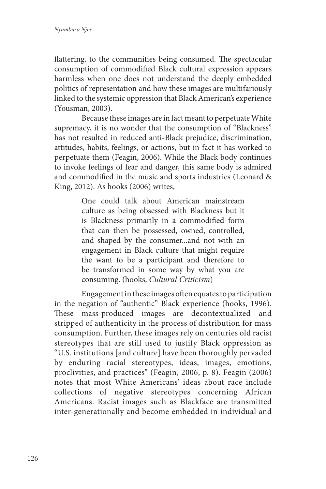flattering, to the communities being consumed. The spectacular consumption of commodified Black cultural expression appears harmless when one does not understand the deeply embedded politics of representation and how these images are multifariously linked to the systemic oppression that Black American's experience (Yousman, 2003).

Because these images are in fact meant to perpetuate White supremacy, it is no wonder that the consumption of "Blackness" has not resulted in reduced anti-Black prejudice, discrimination, attitudes, habits, feelings, or actions, but in fact it has worked to perpetuate them (Feagin, 2006). While the Black body continues to invoke feelings of fear and danger, this same body is admired and commodified in the music and sports industries (Leonard & King, 2012). As hooks (2006) writes,

> One could talk about American mainstream culture as being obsessed with Blackness but it is Blackness primarily in a commodified form that can then be possessed, owned, controlled, and shaped by the consumer...and not with an engagement in Black culture that might require the want to be a participant and therefore to be transformed in some way by what you are consuming. (hooks, *Cultural Criticism*)

Engagement in these images often equates to participation in the negation of "authentic" Black experience (hooks, 1996). These mass-produced images are decontextualized and stripped of authenticity in the process of distribution for mass consumption. Further, these images rely on centuries old racist stereotypes that are still used to justify Black oppression as "U.S. institutions [and culture] have been thoroughly pervaded by enduring racial stereotypes, ideas, images, emotions, proclivities, and practices" (Feagin, 2006, p. 8). Feagin (2006) notes that most White Americans' ideas about race include collections of negative stereotypes concerning African Americans. Racist images such as Blackface are transmitted inter-generationally and become embedded in individual and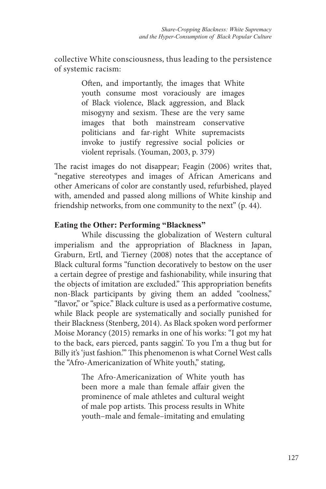collective White consciousness, thus leading to the persistence of systemic racism:

> Often, and importantly, the images that White youth consume most voraciously are images of Black violence, Black aggression, and Black misogyny and sexism. These are the very same images that both mainstream conservative politicians and far-right White supremacists invoke to justify regressive social policies or violent reprisals. (Youman, 2003, p. 379)

The racist images do not disappear; Feagin (2006) writes that, "negative stereotypes and images of African Americans and other Americans of color are constantly used, refurbished, played with, amended and passed along millions of White kinship and friendship networks, from one community to the next" (p. 44).

#### **Eating the Other: Performing "Blackness"**

While discussing the globalization of Western cultural imperialism and the appropriation of Blackness in Japan, Graburn, Ertl, and Tierney (2008) notes that the acceptance of Black cultural forms "function decoratively to bestow on the user a certain degree of prestige and fashionability, while insuring that the objects of imitation are excluded." This appropriation benefits non-Black participants by giving them an added "coolness," "flavor," or "spice." Black culture is used as a performative costume, while Black people are systematically and socially punished for their Blackness (Stenberg, 2014). As Black spoken word performer Moise Morancy (2015) remarks in one of his works: "I got my hat to the back, ears pierced, pants saggin'. To you I'm a thug but for Billy it's 'just fashion.'" This phenomenon is what Cornel West calls the "Afro-Americanization of White youth," stating,

> The Afro-Americanization of White youth has been more a male than female affair given the prominence of male athletes and cultural weight of male pop artists. This process results in White youth–male and female–imitating and emulating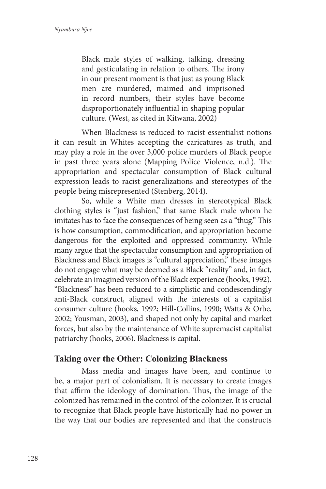Black male styles of walking, talking, dressing and gesticulating in relation to others. The irony in our present moment is that just as young Black men are murdered, maimed and imprisoned in record numbers, their styles have become disproportionately influential in shaping popular culture. (West, as cited in Kitwana, 2002)

When Blackness is reduced to racist essentialist notions it can result in Whites accepting the caricatures as truth, and may play a role in the over 3,000 police murders of Black people in past three years alone (Mapping Police Violence, n.d.). The appropriation and spectacular consumption of Black cultural expression leads to racist generalizations and stereotypes of the people being misrepresented (Stenberg, 2014).

So, while a White man dresses in stereotypical Black clothing styles is "just fashion," that same Black male whom he imitates has to face the consequences of being seen as a "thug." This is how consumption, commodification, and appropriation become dangerous for the exploited and oppressed community. While many argue that the spectacular consumption and appropriation of Blackness and Black images is "cultural appreciation," these images do not engage what may be deemed as a Black "reality" and, in fact, celebrate an imagined version of the Black experience (hooks, 1992). "Blackness" has been reduced to a simplistic and condescendingly anti-Black construct, aligned with the interests of a capitalist consumer culture (hooks, 1992; Hill-Collins, 1990; Watts & Orbe, 2002; Yousman, 2003), and shaped not only by capital and market forces, but also by the maintenance of White supremacist capitalist patriarchy (hooks, 2006). Blackness is capital.

# **Taking over the Other: Colonizing Blackness**

Mass media and images have been, and continue to be, a major part of colonialism. It is necessary to create images that affirm the ideology of domination. Thus, the image of the colonized has remained in the control of the colonizer. It is crucial to recognize that Black people have historically had no power in the way that our bodies are represented and that the constructs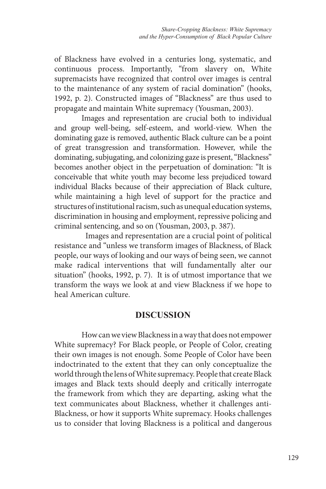of Blackness have evolved in a centuries long, systematic, and continuous process. Importantly, "from slavery on, White supremacists have recognized that control over images is central to the maintenance of any system of racial domination" (hooks, 1992, p. 2). Constructed images of "Blackness" are thus used to propagate and maintain White supremacy (Yousman, 2003).

Images and representation are crucial both to individual and group well-being, self-esteem, and world-view. When the dominating gaze is removed, authentic Black culture can be a point of great transgression and transformation. However, while the dominating, subjugating, and colonizing gaze is present, "Blackness" becomes another object in the perpetuation of domination: "It is conceivable that white youth may become less prejudiced toward individual Blacks because of their appreciation of Black culture, while maintaining a high level of support for the practice and structures of institutional racism, such as unequal education systems, discrimination in housing and employment, repressive policing and criminal sentencing, and so on (Yousman, 2003, p. 387).

 Images and representation are a crucial point of political resistance and "unless we transform images of Blackness, of Black people, our ways of looking and our ways of being seen, we cannot make radical interventions that will fundamentally alter our situation" (hooks, 1992, p. 7). It is of utmost importance that we transform the ways we look at and view Blackness if we hope to heal American culture.

#### **DISCUSSION**

How can we view Blackness in a way that does not empower White supremacy? For Black people, or People of Color, creating their own images is not enough. Some People of Color have been indoctrinated to the extent that they can only conceptualize the world through the lens of White supremacy. People that create Black images and Black texts should deeply and critically interrogate the framework from which they are departing, asking what the text communicates about Blackness, whether it challenges anti-Blackness, or how it supports White supremacy. Hooks challenges us to consider that loving Blackness is a political and dangerous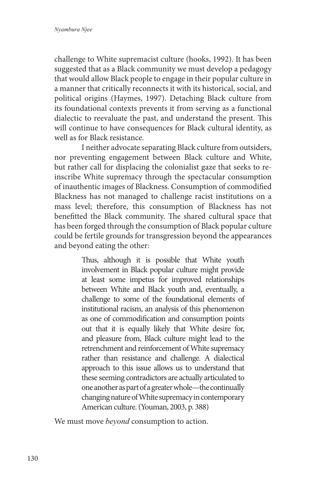challenge to White supremacist culture (hooks, 1992). It has been suggested that as a Black community we must develop a pedagogy that would allow Black people to engage in their popular culture in a manner that critically reconnects it with its historical, social, and political origins (Haymes, 1997). Detaching Black culture from its foundational contexts prevents it from serving as a functional dialectic to reevaluate the past, and understand the present. This will continue to have consequences for Black cultural identity, as well as for Black resistance.

I neither advocate separating Black culture from outsiders, nor preventing engagement between Black culture and White, but rather call for displacing the colonialist gaze that seeks to reinscribe White supremacy through the spectacular consumption of inauthentic images of Blackness. Consumption of commodified Blackness has not managed to challenge racist institutions on a mass level; therefore, this consumption of Blackness has not benefitted the Black community. The shared cultural space that has been forged through the consumption of Black popular culture could be fertile grounds for transgression beyond the appearances and beyond eating the other:

> Thus, although it is possible that White youth involvement in Black popular culture might provide at least some impetus for improved relationships between White and Black youth and, eventually, a challenge to some of the foundational elements of institutional racism, an analysis of this phenomenon as one of commodification and consumption points out that it is equally likely that White desire for, and pleasure from, Black culture might lead to the retrenchment and reinforcement of White supremacy rather than resistance and challenge. A dialectical approach to this issue allows us to understand that these seeming contradictors are actually articulated to one another as part of a greater whole—the continually changing nature of White supremacy in contemporary American culture. (Youman, 2003, p. 388)

We must move *beyond* consumption to action.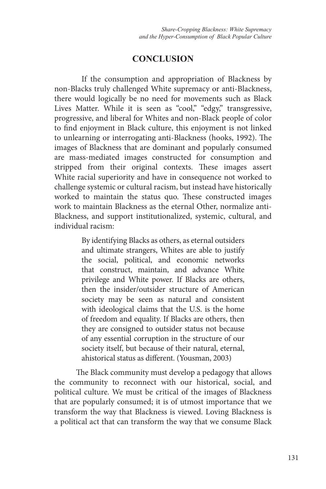# **CONCLUSION**

If the consumption and appropriation of Blackness by non-Blacks truly challenged White supremacy or anti-Blackness, there would logically be no need for movements such as Black Lives Matter. While it is seen as "cool," "edgy," transgressive, progressive, and liberal for Whites and non-Black people of color to find enjoyment in Black culture, this enjoyment is not linked to unlearning or interrogating anti-Blackness (hooks, 1992). The images of Blackness that are dominant and popularly consumed are mass-mediated images constructed for consumption and stripped from their original contexts. These images assert White racial superiority and have in consequence not worked to challenge systemic or cultural racism, but instead have historically worked to maintain the status quo. These constructed images work to maintain Blackness as the eternal Other, normalize anti-Blackness, and support institutionalized, systemic, cultural, and individual racism:

> By identifying Blacks as others, as eternal outsiders and ultimate strangers, Whites are able to justify the social, political, and economic networks that construct, maintain, and advance White privilege and White power. If Blacks are others, then the insider/outsider structure of American society may be seen as natural and consistent with ideological claims that the U.S. is the home of freedom and equality. If Blacks are others, then they are consigned to outsider status not because of any essential corruption in the structure of our society itself, but because of their natural, eternal, ahistorical status as different. (Yousman, 2003)

The Black community must develop a pedagogy that allows the community to reconnect with our historical, social, and political culture. We must be critical of the images of Blackness that are popularly consumed; it is of utmost importance that we transform the way that Blackness is viewed. Loving Blackness is a political act that can transform the way that we consume Black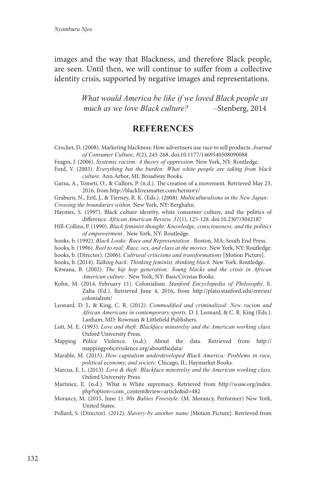images and the way that Blackness, and therefore Black people, are seen. Until then, we will continue to suffer from a collective identity crisis, supported by negative images and representations.

> *What would America be like if we loved Black people as much as we love Black culture? –*Stenberg, 2014

#### **REFERENCES**

- Crocket, D. (2008). Marketing blackness: How advertisers use race to sell products. *Journal of Consumer Culture, 8*(2), 245-268. doi:10.1177/1469540508090088
- Feagin, J. (2006). *Systemic racism: A theory of oppression.* New York, NY: Routledge.
- Ford, V. (2003). *Everything but the burden: What white people are taking from black culture.* Ann Arbor, MI: Broadway Books.
- Garza, A., Tometi, O., & Cullors, P. (n.d.). The creation of a movement*.* Retrieved May 23, 2016, from http://blacklivesmatter.com/herstory/

Graburn, N., Ertl, J., & Tierney, R. K. (Eds.). (2008). *Multiculturalisms in the New Japan: Crossing the boundaries within.* New York, NY: Berghahn.

Haymes, S. (1997). Black culture identity, white consumer culture, and the politics of difference. *African American Review, 31*(1), 125-128. doi:10.2307/3042187

- Hill-Collins, P. (1990). *Black feminist thought: Knowledge, consciousness, and the politics of empowerment .* New York, NY: Routledge.
- hooks, b. (1992). *Black Looks: Race and Representation .* Boston, MA: South End Press.
- hooks, b. (1996). *Reel to real: Race, sex, and class at the movies.* New York, NY: Routledge.
- hooks, b. (Director). (2006). *Cultrural criticisms and transformations* [Motion Picture].
- hooks, b. (2014). *Talking back: Thinking feminist, thinking black.* New York: Routledge.
- Kitwana, B. (2002). *The hip hop generation: Young blacks and the crisis in African American culture .* New York, NY: BasicCivistas Books.
- Kohn, M. (2014, February 11). Colonialism. *Stanford Encyclopedia of Philosophy*. E. Zalta (Ed.). Retrieved June 4, 2016, from http://plato.stanford.edu/entries/ colonialism/
- Leonard, D. J., & King, C. R. (2012). *Commodified and criminalized: New racism and African Americans in contemporary sports.* D. J. Leonard, & C. R. King (Eds.). Lanham, MD: Rowman & Littlefield Publishers.
- Lott, M. E. (1993). *Love and theft: Blackface minstrelsy and the American working class.* Oxford University Press.
- Mapping Police Violence. (n.d.). About the data. Retrieved from http:// mappingpoliceviolence.org/aboutthedata/
- Marable, M. (2015). *How capitalism underdeveloped Black America: Problems in race, political economy, and society.* Chicago, IL: Haymarket Books.
- Marcus, E. L. (2013). *Love & theft: Blackface minstrelsy and the American working class.* Oxford University Press.
- Martinez, E. (n.d.). What is White supremacy. Retrieved from http://soaw.org/index. php?option=com\_content&view=article&id=482
- Morancy, M. (2015, June 1). *90s Babies Freestyle.* (M. Morancy, Performer) New York, United States.
- Pollard, S. (Director). (2012). *Slavery by another name* [Motion Picture]. Retrieved from